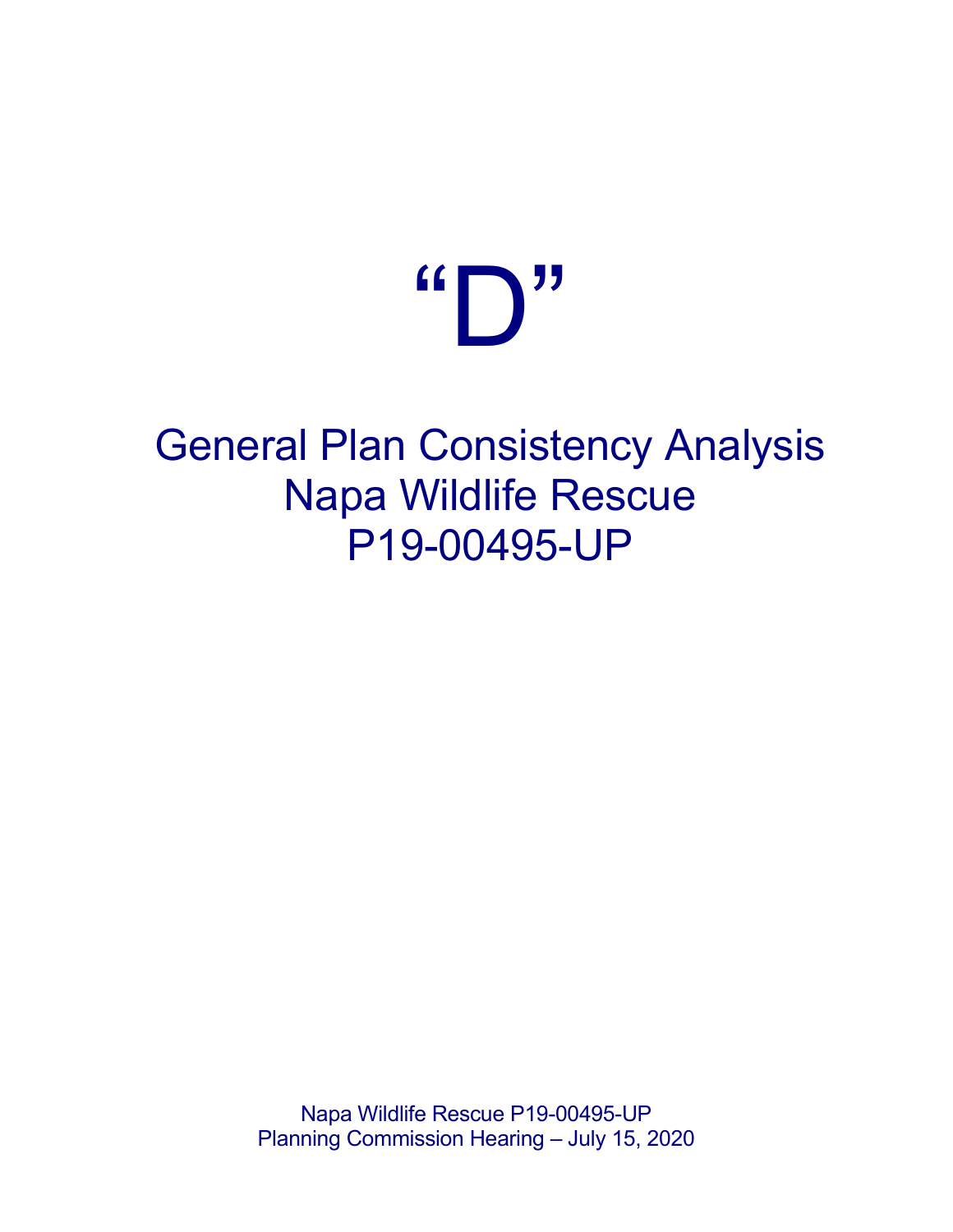## $\mathbf{G} \bigcap \mathbf{U}$

## General Plan Consistency Analysis Napa Wildlife Rescue P19-00495-UP

Napa Wildlife Rescue P19-00495-UP Planning Commission Hearing – July 15, 2020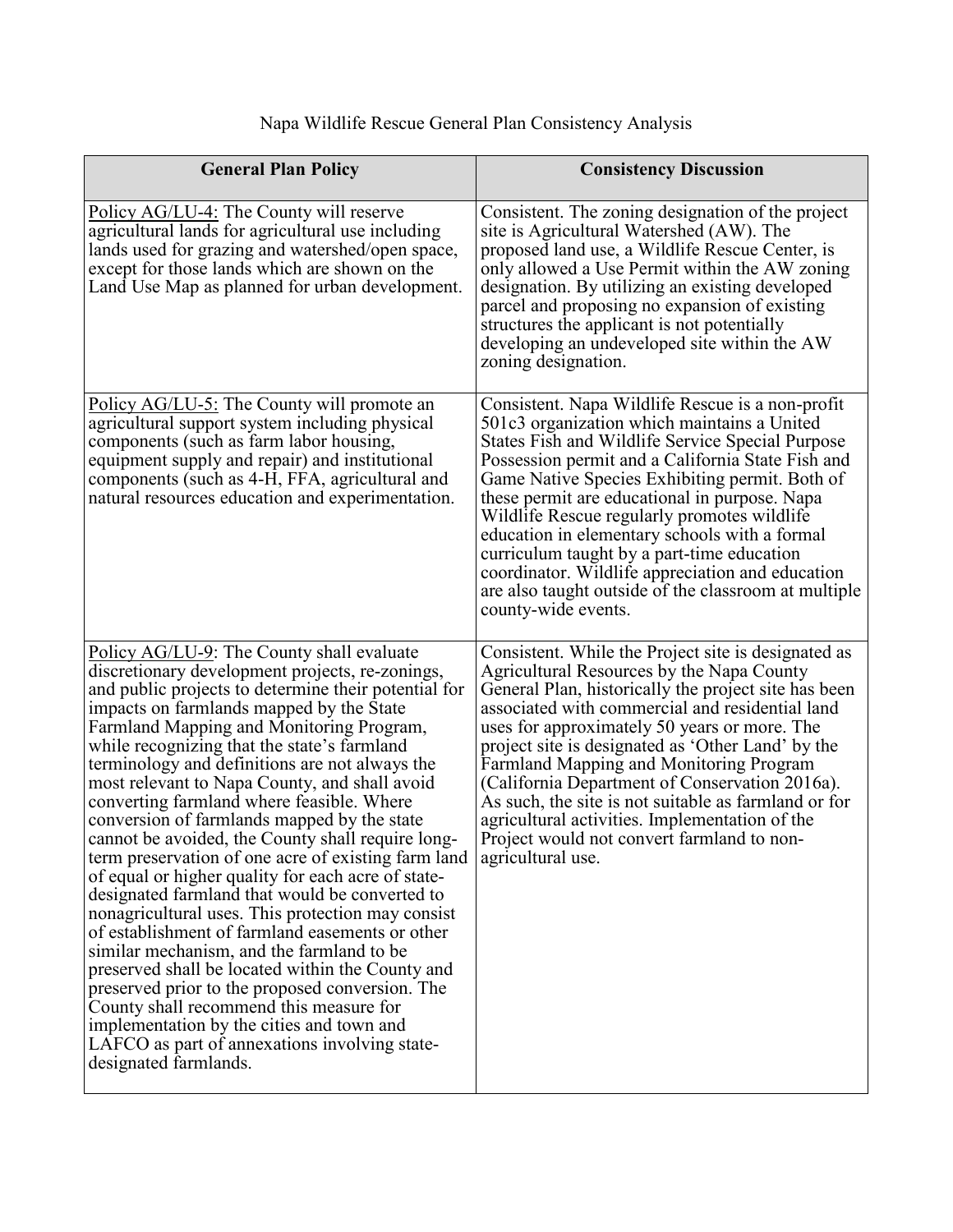| <b>General Plan Policy</b>                                                                                                                                                                                                                                                                                                                                                                                                                                                                                                                                                                                                                                                                                                                                                                                                                                                                                                                                                                                                                                                                                                                   | <b>Consistency Discussion</b>                                                                                                                                                                                                                                                                                                                                                                                                                                                                                                                                                                     |
|----------------------------------------------------------------------------------------------------------------------------------------------------------------------------------------------------------------------------------------------------------------------------------------------------------------------------------------------------------------------------------------------------------------------------------------------------------------------------------------------------------------------------------------------------------------------------------------------------------------------------------------------------------------------------------------------------------------------------------------------------------------------------------------------------------------------------------------------------------------------------------------------------------------------------------------------------------------------------------------------------------------------------------------------------------------------------------------------------------------------------------------------|---------------------------------------------------------------------------------------------------------------------------------------------------------------------------------------------------------------------------------------------------------------------------------------------------------------------------------------------------------------------------------------------------------------------------------------------------------------------------------------------------------------------------------------------------------------------------------------------------|
| Policy AG/LU-4: The County will reserve<br>agricultural lands for agricultural use including<br>lands used for grazing and watershed/open space,<br>except for those lands which are shown on the<br>Land Use Map as planned for urban development.                                                                                                                                                                                                                                                                                                                                                                                                                                                                                                                                                                                                                                                                                                                                                                                                                                                                                          | Consistent. The zoning designation of the project<br>site is Agricultural Watershed (AW). The<br>proposed land use, a Wildlife Rescue Center, is<br>only allowed a Use Permit within the AW zoning<br>designation. By utilizing an existing developed<br>parcel and proposing no expansion of existing<br>structures the applicant is not potentially<br>developing an undeveloped site within the AW<br>zoning designation.                                                                                                                                                                      |
| Policy AG/LU-5: The County will promote an<br>agricultural support system including physical<br>components (such as farm labor housing,<br>equipment supply and repair) and institutional<br>components (such as 4-H, FFA, agricultural and<br>natural resources education and experimentation.                                                                                                                                                                                                                                                                                                                                                                                                                                                                                                                                                                                                                                                                                                                                                                                                                                              | Consistent. Napa Wildlife Rescue is a non-profit<br>501c3 organization which maintains a United<br>States Fish and Wildlife Service Special Purpose<br>Possession permit and a California State Fish and<br>Game Native Species Exhibiting permit. Both of<br>these permit are educational in purpose. Napa<br>Wildlife Rescue regularly promotes wildlife<br>education in elementary schools with a formal<br>curriculum taught by a part-time education<br>coordinator. Wildlife appreciation and education<br>are also taught outside of the classroom at multiple<br>county-wide events.      |
| Policy AG/LU-9: The County shall evaluate<br>discretionary development projects, re-zonings,<br>and public projects to determine their potential for<br>impacts on farmlands mapped by the State<br>Farmland Mapping and Monitoring Program,<br>while recognizing that the state's farmland<br>terminology and definitions are not always the<br>most relevant to Napa County, and shall avoid<br>converting farmland where feasible. Where<br>conversion of farmlands mapped by the state<br>cannot be avoided, the County shall require long-<br>term preservation of one acre of existing farm land<br>of equal or higher quality for each acre of state-<br>designated farmland that would be converted to<br>nonagricultural uses. This protection may consist<br>of establishment of farmland easements or other<br>similar mechanism, and the farmland to be<br>preserved shall be located within the County and<br>preserved prior to the proposed conversion. The<br>County shall recommend this measure for<br>implementation by the cities and town and<br>LAFCO as part of annexations involving state-<br>designated farmlands. | Consistent. While the Project site is designated as<br>Agricultural Resources by the Napa County<br>General Plan, historically the project site has been<br>associated with commercial and residential land<br>uses for approximately 50 years or more. The<br>project site is designated as 'Other Land' by the<br><b>Farmland Mapping and Monitoring Program</b><br>(California Department of Conservation 2016a).<br>As such, the site is not suitable as farmland or for<br>agricultural activities. Implementation of the<br>Project would not convert farmland to non-<br>agricultural use. |

## Napa Wildlife Rescue General Plan Consistency Analysis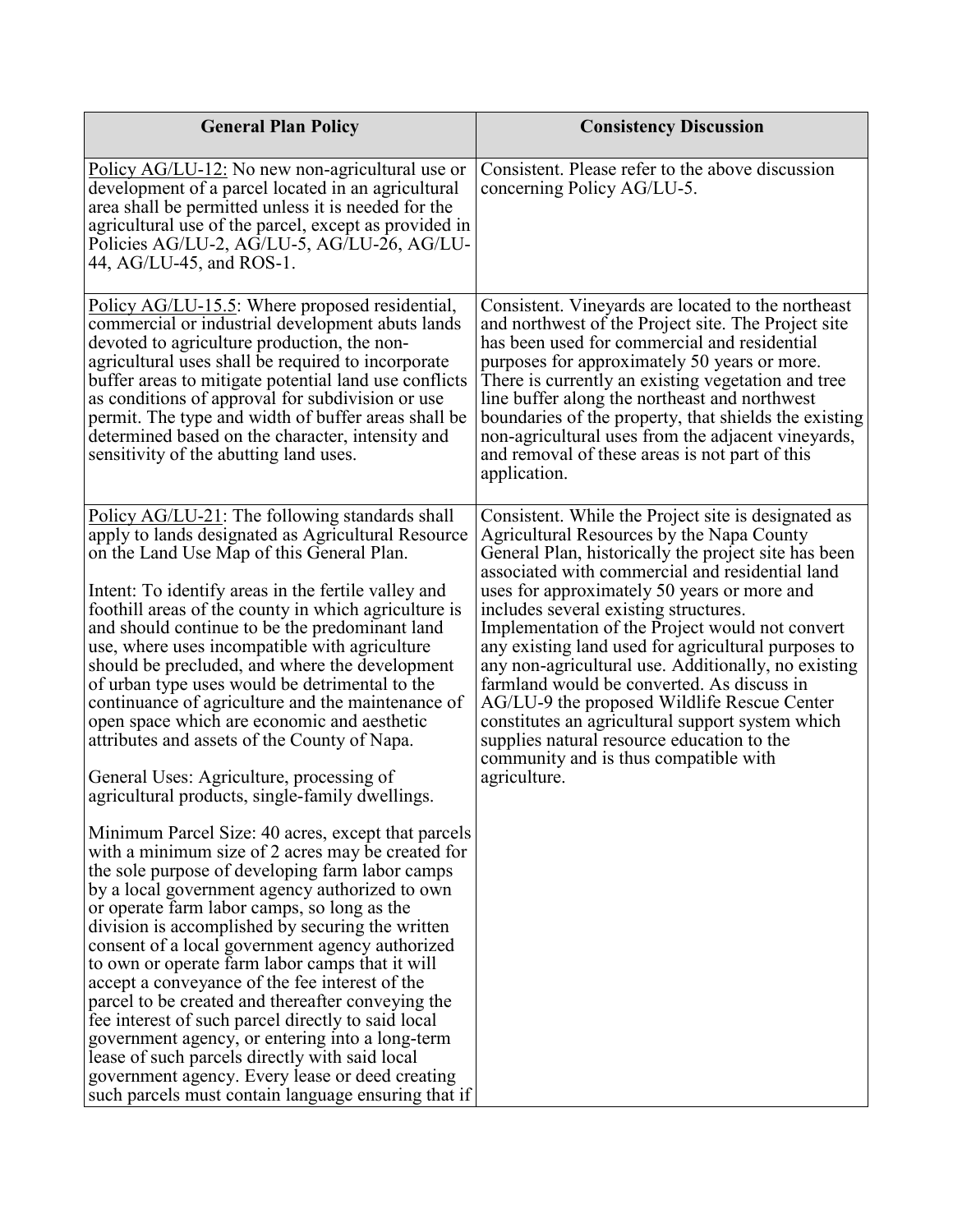| <b>General Plan Policy</b>                                                                                                                                                                                                                                                                                                                                                                                                                                                                                                                                                                                                                                                                                                                                                                                                                                                                                                                                                                                                                                                                                                                                                                                                                                                                                                                                                                                                                                                                                                      | <b>Consistency Discussion</b>                                                                                                                                                                                                                                                                                                                                                                                                                                                                                                                                                                                                                                                                                                |
|---------------------------------------------------------------------------------------------------------------------------------------------------------------------------------------------------------------------------------------------------------------------------------------------------------------------------------------------------------------------------------------------------------------------------------------------------------------------------------------------------------------------------------------------------------------------------------------------------------------------------------------------------------------------------------------------------------------------------------------------------------------------------------------------------------------------------------------------------------------------------------------------------------------------------------------------------------------------------------------------------------------------------------------------------------------------------------------------------------------------------------------------------------------------------------------------------------------------------------------------------------------------------------------------------------------------------------------------------------------------------------------------------------------------------------------------------------------------------------------------------------------------------------|------------------------------------------------------------------------------------------------------------------------------------------------------------------------------------------------------------------------------------------------------------------------------------------------------------------------------------------------------------------------------------------------------------------------------------------------------------------------------------------------------------------------------------------------------------------------------------------------------------------------------------------------------------------------------------------------------------------------------|
| Policy AG/LU-12: No new non-agricultural use or<br>development of a parcel located in an agricultural<br>area shall be permitted unless it is needed for the<br>agricultural use of the parcel, except as provided in<br>Policies AG/LU-2, AG/LU-5, AG/LU-26, AG/LU-<br>44, AG/LU-45, and ROS-1.                                                                                                                                                                                                                                                                                                                                                                                                                                                                                                                                                                                                                                                                                                                                                                                                                                                                                                                                                                                                                                                                                                                                                                                                                                | Consistent. Please refer to the above discussion<br>concerning Policy AG/LU-5.                                                                                                                                                                                                                                                                                                                                                                                                                                                                                                                                                                                                                                               |
| Policy AG/LU-15.5: Where proposed residential,<br>commercial or industrial development abuts lands<br>devoted to agriculture production, the non-<br>agricultural uses shall be required to incorporate<br>buffer areas to mitigate potential land use conflicts<br>as conditions of approval for subdivision or use<br>permit. The type and width of buffer areas shall be<br>determined based on the character, intensity and<br>sensitivity of the abutting land uses.                                                                                                                                                                                                                                                                                                                                                                                                                                                                                                                                                                                                                                                                                                                                                                                                                                                                                                                                                                                                                                                       | Consistent. Vineyards are located to the northeast<br>and northwest of the Project site. The Project site<br>has been used for commercial and residential<br>purposes for approximately 50 years or more.<br>There is currently an existing vegetation and tree<br>line buffer along the northeast and northwest<br>boundaries of the property, that shields the existing<br>non-agricultural uses from the adjacent vineyards,<br>and removal of these areas is not part of this<br>application.                                                                                                                                                                                                                            |
| Policy AG/LU-21: The following standards shall<br>apply to lands designated as Agricultural Resource<br>on the Land Use Map of this General Plan.<br>Intent: To identify areas in the fertile valley and<br>foothill areas of the county in which agriculture is<br>and should continue to be the predominant land<br>use, where uses incompatible with agriculture<br>should be precluded, and where the development<br>of urban type uses would be detrimental to the<br>continuance of agriculture and the maintenance of<br>open space which are economic and aesthetic<br>attributes and assets of the County of Napa.<br>General Uses: Agriculture, processing of<br>agricultural products, single-family dwellings.<br>Minimum Parcel Size: 40 acres, except that parcels<br>with a minimum size of 2 acres may be created for<br>the sole purpose of developing farm labor camps<br>by a local government agency authorized to own<br>or operate farm labor camps, so long as the<br>division is accomplished by securing the written<br>consent of a local government agency authorized<br>to own or operate farm labor camps that it will<br>accept a conveyance of the fee interest of the<br>parcel to be created and thereafter conveying the<br>fee interest of such parcel directly to said local<br>government agency, or entering into a long-term<br>lease of such parcels directly with said local<br>government agency. Every lease or deed creating<br>such parcels must contain language ensuring that if | Consistent. While the Project site is designated as<br>Agricultural Resources by the Napa County<br>General Plan, historically the project site has been<br>associated with commercial and residential land<br>uses for approximately 50 years or more and<br>includes several existing structures.<br>Implementation of the Project would not convert<br>any existing land used for agricultural purposes to<br>any non-agricultural use. Additionally, no existing<br>farmland would be converted. As discuss in<br>AG/LU-9 the proposed Wildlife Rescue Center<br>constitutes an agricultural support system which<br>supplies natural resource education to the<br>community and is thus compatible with<br>agriculture. |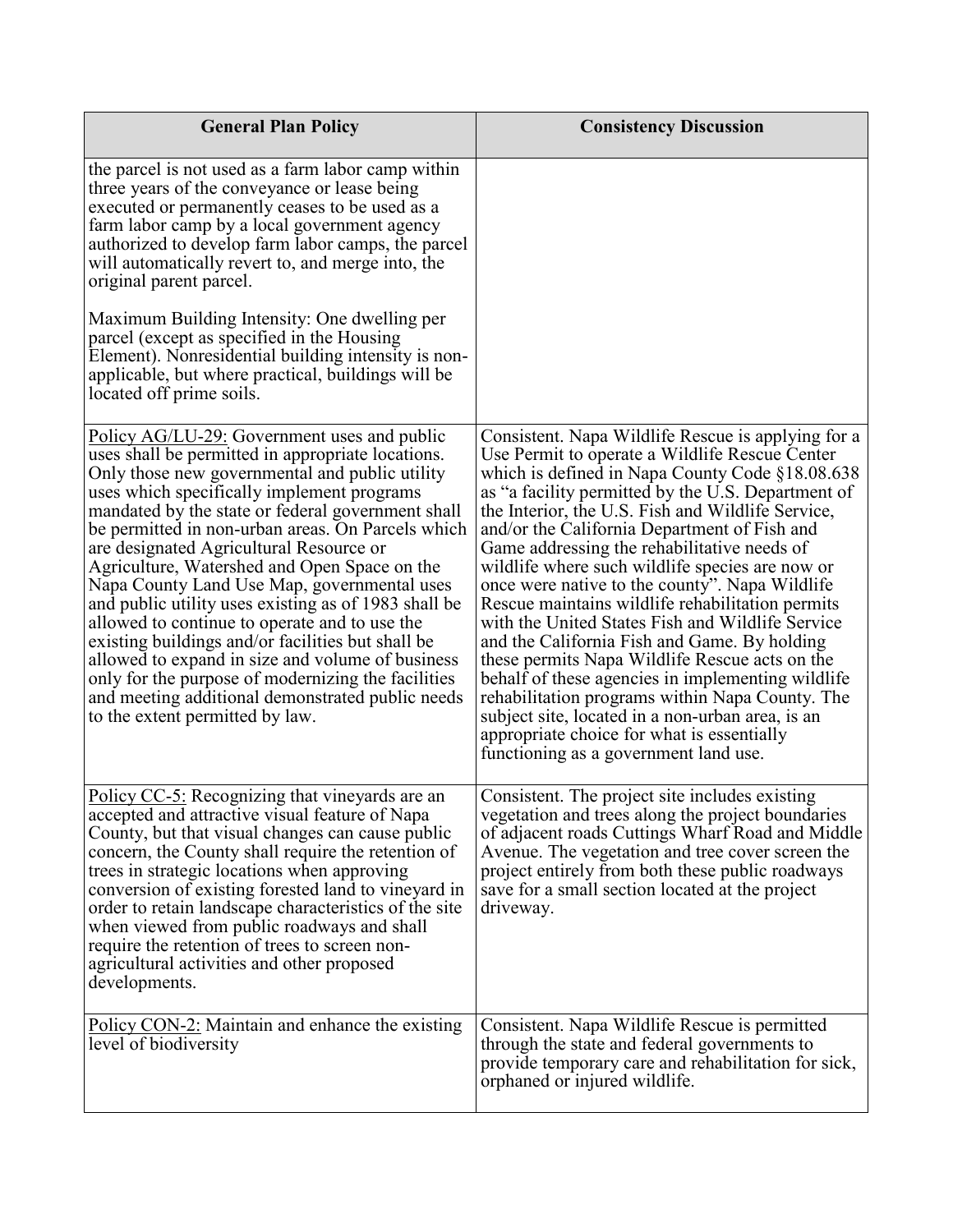| <b>General Plan Policy</b>                                                                                                                                                                                                                                                                                                                                                                                                                                                                                                                                                                                                                                                                                                                                                                                             | <b>Consistency Discussion</b>                                                                                                                                                                                                                                                                                                                                                                                                                                                                                                                                                                                                                                                                                                                                                                                                                                                                                                       |
|------------------------------------------------------------------------------------------------------------------------------------------------------------------------------------------------------------------------------------------------------------------------------------------------------------------------------------------------------------------------------------------------------------------------------------------------------------------------------------------------------------------------------------------------------------------------------------------------------------------------------------------------------------------------------------------------------------------------------------------------------------------------------------------------------------------------|-------------------------------------------------------------------------------------------------------------------------------------------------------------------------------------------------------------------------------------------------------------------------------------------------------------------------------------------------------------------------------------------------------------------------------------------------------------------------------------------------------------------------------------------------------------------------------------------------------------------------------------------------------------------------------------------------------------------------------------------------------------------------------------------------------------------------------------------------------------------------------------------------------------------------------------|
| the parcel is not used as a farm labor camp within<br>three years of the conveyance or lease being<br>executed or permanently ceases to be used as a<br>farm labor camp by a local government agency<br>authorized to develop farm labor camps, the parcel<br>will automatically revert to, and merge into, the<br>original parent parcel.                                                                                                                                                                                                                                                                                                                                                                                                                                                                             |                                                                                                                                                                                                                                                                                                                                                                                                                                                                                                                                                                                                                                                                                                                                                                                                                                                                                                                                     |
| Maximum Building Intensity: One dwelling per<br>parcel (except as specified in the Housing<br>Element). Nonresidential building intensity is non-<br>applicable, but where practical, buildings will be<br>located off prime soils.                                                                                                                                                                                                                                                                                                                                                                                                                                                                                                                                                                                    |                                                                                                                                                                                                                                                                                                                                                                                                                                                                                                                                                                                                                                                                                                                                                                                                                                                                                                                                     |
| Policy $AG/LU-29$ : Government uses and public<br>uses shall be permitted in appropriate locations.<br>Only those new governmental and public utility<br>uses which specifically implement programs<br>mandated by the state or federal government shall<br>be permitted in non-urban areas. On Parcels which<br>are designated Agricultural Resource or<br>Agriculture, Watershed and Open Space on the<br>Napa County Land Use Map, governmental uses<br>and public utility uses existing as of 1983 shall be<br>allowed to continue to operate and to use the<br>existing buildings and/or facilities but shall be<br>allowed to expand in size and volume of business<br>only for the purpose of modernizing the facilities<br>and meeting additional demonstrated public needs<br>to the extent permitted by law. | Consistent. Napa Wildlife Rescue is applying for a<br>Use Permit to operate a Wildlife Rescue Center<br>which is defined in Napa County Code §18.08.638<br>as "a facility permitted by the U.S. Department of<br>the Interior, the U.S. Fish and Wildlife Service,<br>and/or the California Department of Fish and<br>Game addressing the rehabilitative needs of<br>wildlife where such wildlife species are now or<br>once were native to the county". Napa Wildlife<br>Rescue maintains wildlife rehabilitation permits<br>with the United States Fish and Wildlife Service<br>and the California Fish and Game. By holding<br>these permits Napa Wildlife Rescue acts on the<br>behalf of these agencies in implementing wildlife<br>rehabilitation programs within Napa County. The<br>subject site, located in a non-urban area, is an<br>appropriate choice for what is essentially<br>functioning as a government land use. |
| Policy CC-5: Recognizing that vineyards are an<br>accepted and attractive visual feature of Napa<br>County, but that visual changes can cause public<br>concern, the County shall require the retention of<br>trees in strategic locations when approving<br>conversion of existing forested land to vineyard in<br>order to retain landscape characteristics of the site<br>when viewed from public roadways and shall<br>require the retention of trees to screen non-<br>agricultural activities and other proposed<br>developments.                                                                                                                                                                                                                                                                                | Consistent. The project site includes existing<br>vegetation and trees along the project boundaries<br>of adjacent roads Cuttings Wharf Road and Middle<br>Avenue. The vegetation and tree cover screen the<br>project entirely from both these public roadways<br>save for a small section located at the project<br>driveway.                                                                                                                                                                                                                                                                                                                                                                                                                                                                                                                                                                                                     |
| Policy CON-2: Maintain and enhance the existing<br>level of biodiversity                                                                                                                                                                                                                                                                                                                                                                                                                                                                                                                                                                                                                                                                                                                                               | Consistent. Napa Wildlife Rescue is permitted<br>through the state and federal governments to<br>provide temporary care and rehabilitation for sick,<br>orphaned or injured wildlife.                                                                                                                                                                                                                                                                                                                                                                                                                                                                                                                                                                                                                                                                                                                                               |